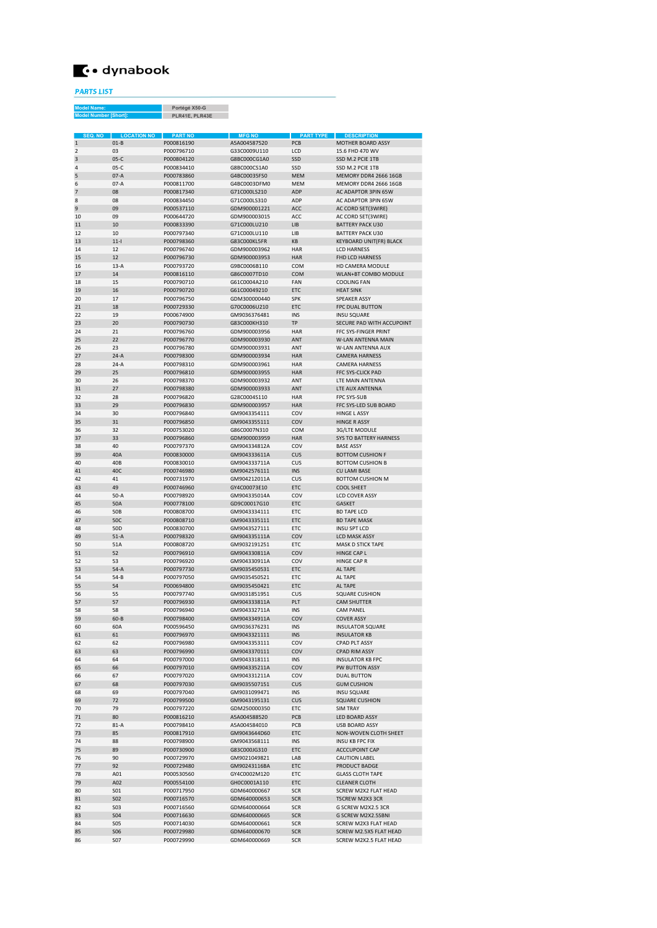## **←•** dynabook

PARTS LIST

Portégé X50-G PLR41E, PLR43E Model Name: Model Number [Short]:

| <b>SEQ. NO</b> | <b>LOCATION NO</b>       | <b>PART NO</b>           | <b>MFG NO</b>                | <b>PART TYPE</b>  | <b>DESCRIPTION</b>                             |
|----------------|--------------------------|--------------------------|------------------------------|-------------------|------------------------------------------------|
| 1              | $01-B$                   | P000816190               | A5A004587520<br>G33C0009U110 | <b>PCB</b>        | <b>MOTHER BOARD ASSY</b>                       |
| $\overline{2}$ | 03                       | P000796710<br>P000804120 | G8BC000CG1A0                 | LCD<br>SSD        | 15.6 FHD 470 WV                                |
| 3<br>4         | $05-C$<br>$05-C$         | P000834410               | G8BC000CS1A0                 | SSD               | SSD M.2 PCIE 1TB<br>SSD M.2 PCIF 1TB           |
| 5              | $07-A$                   | P000783860               | GARCOOD35ES0                 | <b>MEM</b>        | MEMORY DDR4 2666 16GR                          |
| 6              | $07-A$                   | P000811700               | G4BC0003DEM0                 | <b>MEM</b>        | MEMORY DDR4 2666 16GB                          |
| 7              | 08                       | P000817340               | G71C000LS210                 | ADP               | AC ADAPTOR 3PIN 65W                            |
| 8              | 08                       | P000834450               | G71C000LS310                 | ADP               | AC ADAPTOR 3PIN 65W                            |
| 9              | 09                       | P000537110               | GDM900001221                 | ACC               | AC CORD SET(3WIRE)                             |
| 10             | 09                       | P000644720               | GDM900003015                 | ACC               | AC CORD SET(3WIRE)                             |
| 11             | 10                       | P000833390               | G71C000LU210                 | LIB               | <b>BATTERY PACK U30</b>                        |
| 12             | 10                       | P000797340               | G71C000LU110                 | LIB               | <b>BATTERY PACK U30</b>                        |
| 13             | $11 -$                   | P000798360               | G83C000KL5FR                 | KB                | <b>KEYBOARD UNIT(FR) BLACK</b>                 |
| 14             | 12                       | P000796740               | GDM900003962                 | <b>HAR</b>        | <b>LCD HARNESS</b>                             |
| 15             | 12                       | P000796730               | GDM900003953                 | <b>HAR</b>        | FHD LCD HARNESS                                |
| 16             | $13-A$                   | P000793720               | G9BC0006B110                 | COM               | HD CAMERA MODULE                               |
| 17             | 14                       | P000816110               | G86C0007TD10                 | COM               | <b>WLAN+BT COMBO MODULE</b>                    |
| 18             | 15                       | P000790710               | G61C0004A210                 | FAN               | <b>COOLING FAN</b>                             |
| 19             | 16                       | P000790720               | G61C00049210                 | ETC               | <b>HEAT SINK</b>                               |
| 20             | 17                       | P000796750               | GDM300000440                 | <b>SPK</b>        | <b>SPEAKER ASSY</b>                            |
| 21             | 18                       | P000729330               | G70C0006U210                 | ETC               | <b>FPC DUAL BUTTON</b>                         |
| 22             | 19                       | P000674900               | GM9036376481                 | <b>INS</b>        | <b>INSU SQUARE</b>                             |
| 23             | 20                       | P000790730               | G83C000KH310                 | TP                | SECURE PAD WITH ACCUPOINT                      |
| 24             | 21                       | P000796760               | GDM900003956                 | <b>HAR</b>        | FFC SYS-FINGER PRINT                           |
| 25             | 22                       | P000796770               | GDM900003930                 | ANT               | W-LAN ANTENNA MAIN                             |
| 26             | 23                       | P000796780               | GDM900003931<br>GDM900003934 | ANT               | W-I AN ANTENNA AUX                             |
| 27<br>28       | $24-A$<br>$24-A$         | P000798300<br>P000798310 | GDM900003961                 | <b>HAR</b><br>HAR | <b>CAMERA HARNESS</b><br><b>CAMERA HARNESS</b> |
| 29             |                          | P000796810               | GDM900003955                 |                   |                                                |
| 30             | 25<br>26                 | P000798370               | GDM900003932                 | <b>HAR</b><br>ANT | FFC SYS-CLICK PAD<br><b>ITE MAIN ANTENNA</b>   |
| 31             | 27                       | P000798380               | GDM900003933                 | ANT               | LTE AUX ANTENNA                                |
| 32             | 28                       | P000796820               | G28C0004S110                 | <b>HAR</b>        | <b>FPC SYS-SUB</b>                             |
| 33             | 29                       | P000796830               | GDM900003957                 | <b>HAR</b>        | FFC SYS-LED SUB BOARD                          |
| 34             | 30                       | P000796840               | GM9043354111                 | COV               | <b>HINGF LASSY</b>                             |
| 35             | 31                       | P000796850               | GM9043355111                 | COV               | <b>HINGE R ASSY</b>                            |
| 36             | 32                       | P000753020               | G86C0007N310                 | COM               | 3G/LTF MODULE                                  |
| 37             | 33                       | P000796860               | GDM900003959                 | <b>HAR</b>        | <b>SYS TO BATTERY HARNESS</b>                  |
| 38             | 40                       | P000797370               | GM904334812A                 | COV               | <b>BASE ASSY</b>                               |
| 39             | 40A                      | P000830000               | GM904333611A                 | <b>CUS</b>        | <b>BOTTOM CUSHION F</b>                        |
| 40             | 40B                      | P000830010               | GM904333711A                 | CUS               | <b>BOTTOM CUSHION B</b>                        |
| 41             | 40C                      | P000746980               | GM9042576111                 | <b>INS</b>        | <b>CU LAMI BASE</b>                            |
| 42             | 41                       | P000731970               | GM904212011A                 | CUS               | <b>BOTTOM CUSHION M</b>                        |
| 43             | 49                       | P000746960               | GY4C00073E10                 | ETC               | <b>COOL SHEET</b>                              |
| 44             | $50-A$                   | P000798920               | GM904335014A                 | COV               | <b>LCD COVER ASSY</b>                          |
| 45             | 50A                      | P000778100               | GD9C00017G10                 | ETC               | <b>GASKET</b>                                  |
| 46             | 50B                      | P000808700               | GM9043334111                 | ETC               | <b>BD TAPE LCD</b>                             |
| 47             | 50C                      | P000808710               | GM9043335111                 | ETC               | <b>BD TAPE MASK</b>                            |
| 48             | 50 <sub>D</sub>          | P000830700               | GM9043527111                 | ETC               | <b>INSU SPT LCD</b>                            |
| 49             | $51-A$                   | P000798320               | GM904335111A                 | COV               | <b>LCD MASK ASSY</b>                           |
| 50             | 51A                      | P000808720               | GM9032191251                 | ETC               | <b>MASK D STICK TAPE</b>                       |
| 51             | 52                       | P000796910               | GM904330811A                 | COV               | <b>HINGE CAP L</b>                             |
| 52             | 53                       | P000796920               | GM904330911A                 | COV               | <b>HINGE CAP R</b>                             |
| 53             | $54-A$                   | P000797730               | GM9035450531                 | ETC               | <b>ALTAPE</b>                                  |
| 54<br>55       | $54-B$                   | P000797050<br>P000694800 | GM9035450521<br>GM9035450421 | ETC<br><b>ETC</b> | <b>ALTAPE</b><br><b>ALTAPE</b>                 |
| 56             | 54<br>55                 | P000797740               | GM9031851951                 | CUS               | <b>SQUARE CUSHION</b>                          |
| 57             | 57                       | P000796930               | GM904333811A                 | PLT               | <b>CAM SHUTTER</b>                             |
| 58             | 58                       | P000796940               | GM904332711A                 | <b>INS</b>        | <b>CAM PANFI</b>                               |
| 59             | $60-B$                   | P000798400               | GM904334911A                 | COV               | <b>COVER ASSY</b>                              |
| 60             | 60A                      | P000596450               | GM9036376231                 | <b>INS</b>        | <b>INSULATOR SQUARE</b>                        |
| 61             | 61                       | P000796970               | GM9043321111                 | <b>INS</b>        | <b>INSULATOR KB</b>                            |
| 62             | 62                       | P000796980               | GM9043353111                 | COV               | <b>CPAD PLT ASSY</b>                           |
| 63             | 63                       | P000796990               | GM9043370111                 | COV               | <b>CPAD RIM ASSY</b>                           |
| 64             | 64                       | P000797000               | GM9043318111                 | INS               | <b>INSULATOR KB FPC</b>                        |
| 65             | 66                       | P000797010               | GM904335211A                 | COV               | PW BUTTON ASSY                                 |
| 66             | 67                       | P000797020               | GM904331211A                 | COV               | <b>DUAL BUTTON</b>                             |
| 67             | 68                       | P000797030               | GM9035507151                 | <b>CUS</b>        | <b>GUM CUSHION</b>                             |
| 68             | 69                       | P000797040               | GM9031099471                 | INS               | <b>INSU SQUARE</b>                             |
| 69             | 72                       | P000799500               | GM9043195131                 | <b>CUS</b>        | <b>SQUARE CUSHION</b>                          |
| 70             | 79                       | P000797220               | GDM250000350                 | ETC               | <b>SIM TRAY</b>                                |
| 71             | 80                       | P000816210               | A5A004588520                 | PCB               | LED BOARD ASSY                                 |
| 72             | $81-A$                   | P000798410               | A5A004584010                 | PCB               | <b>USB BOARD ASSY</b>                          |
| 73             | 85                       | P000817910               | GM9043644D60                 | ETC               | NON-WOVEN CLOTH SHEET                          |
| 74             | 88                       | P000798900               | GM9043568111                 | <b>INS</b>        | <b>INSU KB FPC FIX</b>                         |
| 75             | 89                       | P000730900               | G83C000JG310                 | ETC               | <b>ACCCUPOINT CAP</b>                          |
| 76             | 90                       | P000729970               | GM9021049821                 | LAB               | CAUTION LABEL                                  |
| 77             | 92                       | P000729480               | GM90243116BA                 | ETC               | PRODUCT BADGE                                  |
| 78             | A01                      | P000530560               | GY4C0002M120                 | ETC               | <b>GLASS CLOTH TAPE</b>                        |
| 79             | A02                      | P000554100<br>P000717950 | GH0C0001A110<br>GDM640000667 | ETC               | <b>CLEANER CLOTH</b>                           |
| 80<br>81       | <b>SO1</b><br><b>SO2</b> | P000716570               | GDM640000653                 | SCR<br><b>SCR</b> | SCREW M2X2 FLAT HEAD<br>TSCREW M2X3 3CR        |
| 82             | <b>SO3</b>               | P000716560               | GDM640000664                 | <b>SCR</b>        | G SCREW M2X2.5 3CR                             |
| 83             | <b>SO4</b>               | P000716630               | GDM640000665                 | <b>SCR</b>        | G SCREW M2X2.5SBNI                             |
| 84             | <b>SO5</b>               | P000714030               | GDM640000661                 | <b>SCR</b>        | SCREW M2X3 FLAT HEAD                           |
| 85             | <b>SO6</b>               | P000729980               | GDM640000670                 | <b>SCR</b>        | SCREW M2.5X5 FLAT HEAD                         |
| 86             | <b>S07</b>               | P000729990               | GDM640000669                 | <b>SCR</b>        | SCREW M2X2.5 FLAT HEAD                         |
|                |                          |                          |                              |                   |                                                |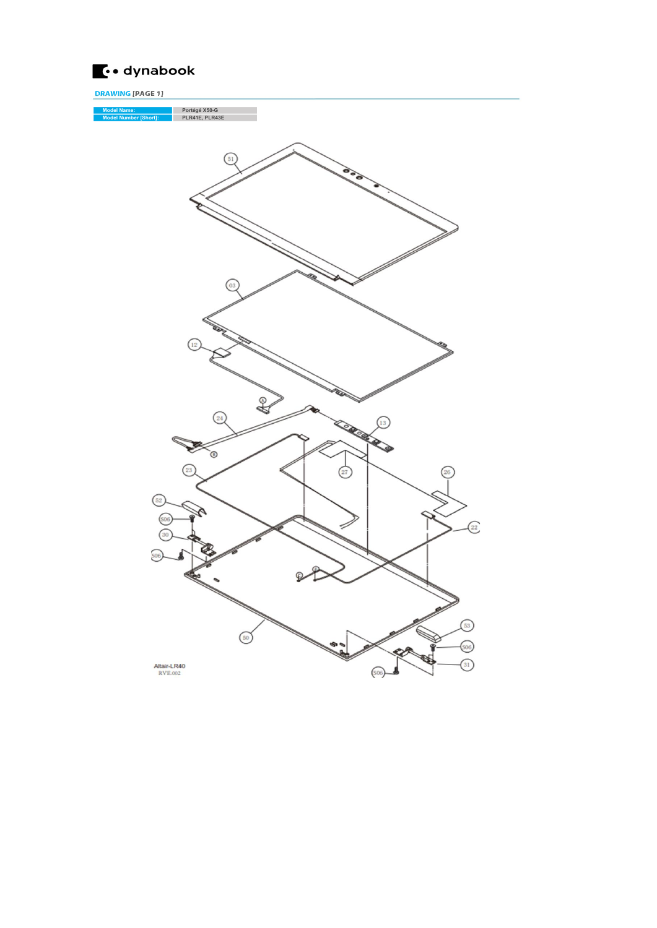

DRAWING [PAGE 1] Model Name: Portégé X50-G Model Number [Short]: PLR41E, PLR43E (03  $\sqrt{12}$  $\mathcal{L}$